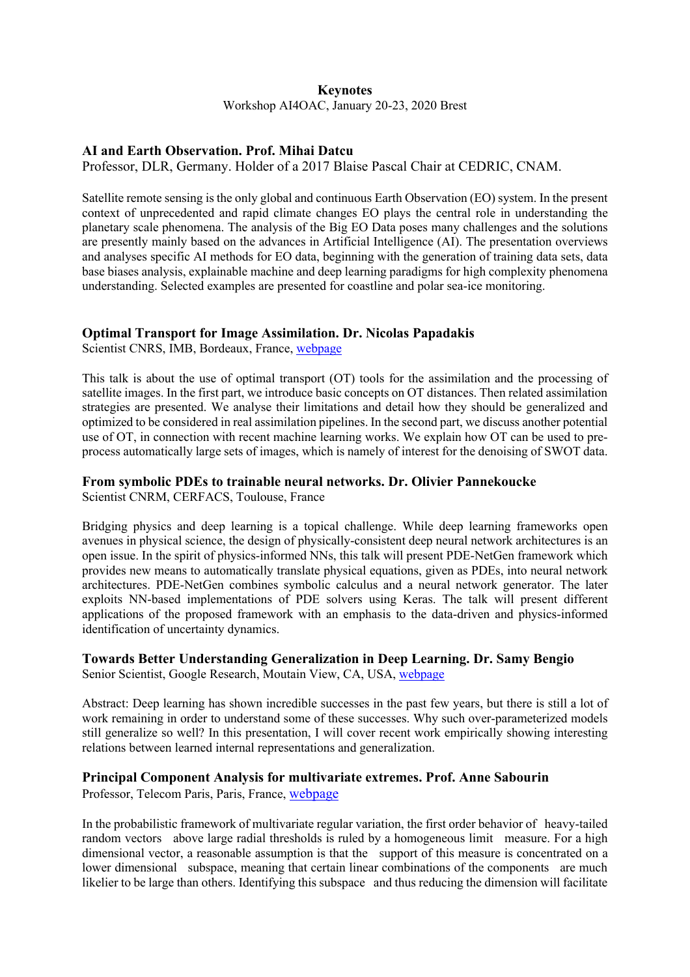#### **Keynotes**

Workshop AI4OAC, January 20-23, 2020 Brest

# **AI and Earth Observation. Prof. Mihai Datcu**

Professor, DLR, Germany. Holder of a 2017 Blaise Pascal Chair at CEDRIC, CNAM.

Satellite remote sensing is the only global and continuous Earth Observation (EO) system. In the present context of unprecedented and rapid climate changes EO plays the central role in understanding the planetary scale phenomena. The analysis of the Big EO Data poses many challenges and the solutions are presently mainly based on the advances in Artificial Intelligence (AI). The presentation overviews and analyses specific AI methods for EO data, beginning with the generation of training data sets, data base biases analysis, explainable machine and deep learning paradigms for high complexity phenomena understanding. Selected examples are presented for coastline and polar sea-ice monitoring.

#### **Optimal Transport for Image Assimilation. Dr. Nicolas Papadakis**

Scientist CNRS, IMB, Bordeaux, France, webpage

This talk is about the use of optimal transport (OT) tools for the assimilation and the processing of satellite images. In the first part, we introduce basic concepts on OT distances. Then related assimilation strategies are presented. We analyse their limitations and detail how they should be generalized and optimized to be considered in real assimilation pipelines. In the second part, we discuss another potential use of OT, in connection with recent machine learning works. We explain how OT can be used to preprocess automatically large sets of images, which is namely of interest for the denoising of SWOT data.

#### **From symbolic PDEs to trainable neural networks. Dr. Olivier Pannekoucke**

Scientist CNRM, CERFACS, Toulouse, France

Bridging physics and deep learning is a topical challenge. While deep learning frameworks open avenues in physical science, the design of physically-consistent deep neural network architectures is an open issue. In the spirit of physics-informed NNs, this talk will present PDE-NetGen framework which provides new means to automatically translate physical equations, given as PDEs, into neural network architectures. PDE-NetGen combines symbolic calculus and a neural network generator. The later exploits NN-based implementations of PDE solvers using Keras. The talk will present different applications of the proposed framework with an emphasis to the data-driven and physics-informed identification of uncertainty dynamics.

## **Towards Better Understanding Generalization in Deep Learning. Dr. Samy Bengio**

Senior Scientist, Google Research, Moutain View, CA, USA, webpage

Abstract: Deep learning has shown incredible successes in the past few years, but there is still a lot of work remaining in order to understand some of these successes. Why such over-parameterized models still generalize so well? In this presentation, I will cover recent work empirically showing interesting relations between learned internal representations and generalization.

## **Principal Component Analysis for multivariate extremes. Prof. Anne Sabourin**

Professor, Telecom Paris, Paris, France, webpage

In the probabilistic framework of multivariate regular variation, the first order behavior of heavy-tailed random vectors above large radial thresholds is ruled by a homogeneous limit measure. For a high dimensional vector, a reasonable assumption is that the support of this measure is concentrated on a lower dimensional subspace, meaning that certain linear combinations of the components are much likelier to be large than others. Identifying this subspace and thus reducing the dimension will facilitate